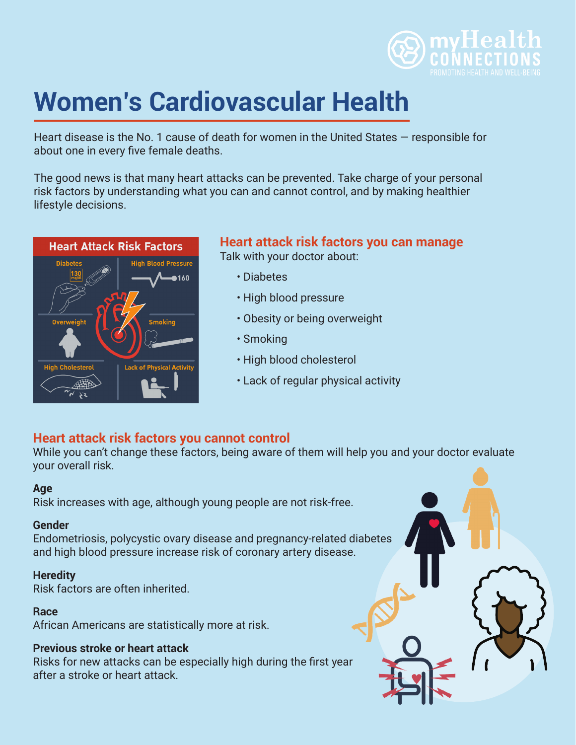

# **Women's Cardiovascular Health**

Heart disease is the No. 1 cause of death for women in the United States — responsible for about one in every five female deaths.

The good news is that many heart attacks can be prevented. Take charge of your personal risk factors by understanding what you can and cannot control, and by making healthier lifestyle decisions.



#### **Heart attack risk factors you can manage** Talk with your doctor about:

- Diabetes
- High blood pressure
- Obesity or being overweight
- Smoking
- High blood cholesterol
- Lack of regular physical activity

# **Heart attack risk factors you cannot control**

While you can't change these factors, being aware of them will help you and your doctor evaluate your overall risk.

#### **Age**

Risk increases with age, although young people are not risk-free.

#### **Gender**

Endometriosis, polycystic ovary disease and pregnancy-related diabetes and high blood pressure increase risk of coronary artery disease.

#### **Heredity**

Risk factors are often inherited.

#### **Race**

African Americans are statistically more at risk.

#### **Previous stroke or heart attack**

Risks for new attacks can be especially high during the first year after a stroke or heart attack.